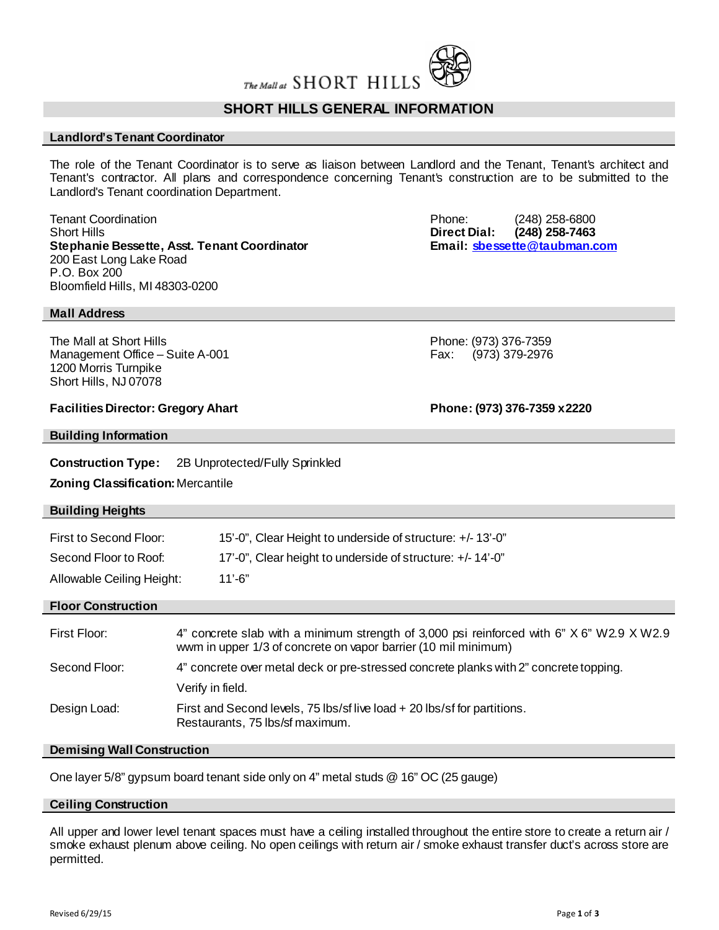

# **SHORT HILLS GENERAL INFORMATION**

## **Landlord's Tenant Coordinator**

The role of the Tenant Coordinator is to serve as liaison between Landlord and the Tenant, Tenant's architect and Tenant's contractor. All plans and correspondence concerning Tenant's construction are to be submitted to the Landlord's Tenant coordination Department.

Tenant Coordination **Tenant Coordination**<br>
Short Hills (248) 258-6800<br>
Direct Dial: (248) 258-7463 **Stephanie Bessette, Asst. Tenant Coordinator** 200 East Long Lake Road P.O. Box 200 Bloomfield Hills, MI 48303-0200

Direct Dial: (248) 258-7463<br>Email: sbessette@taubman.com

**Mall Address**

The Mall at Short Hills<br>
Management Office – Suite A-001 Fax: (973) 376-7359<br>
Fax: (973) 379-2976 Management Office – Suite A-001 1200 Morris Turnpike Short Hills, NJ 07078

**Facilities Director: Gregory Ahart Phone: (973) 376-7359 x2220**

# **Building Information**

**Construction Type:** 2B Unprotected/Fully Sprinkled

**Zoning Classification:**Mercantile

# **Building Heights**

| First to Second Floor: | 15'-0", Clear Height to underside of structure: +/-13'-0" |
|------------------------|-----------------------------------------------------------|
| Second Floor to Roof:  | 17'-0", Clear height to underside of structure: +/-14'-0" |

Allowable Ceiling Height: 11'-6"

# **Floor Construction**

| First Floor:  | 4" concrete slab with a minimum strength of 3,000 psi reinforced with 6" X 6" W2.9 X W2.9<br>wwm in upper 1/3 of concrete on vapor barrier (10 mil minimum) |
|---------------|-------------------------------------------------------------------------------------------------------------------------------------------------------------|
| Second Floor: | 4" concrete over metal deck or pre-stressed concrete planks with 2" concrete topping.                                                                       |
|               | Verify in field.                                                                                                                                            |
| Design Load:  | First and Second levels, 75 lbs/sf live load + 20 lbs/sf for partitions.<br>Restaurants, 75 lbs/sf maximum.                                                 |

### **Demising Wall Construction**

One layer 5/8" gypsum board tenant side only on 4" metal studs @ 16" OC (25 gauge)

### **Ceiling Construction**

All upper and lower level tenant spaces must have a ceiling installed throughout the entire store to create a return air / smoke exhaust plenum above ceiling. No open ceilings with return air / smoke exhaust transfer duct's across store are permitted.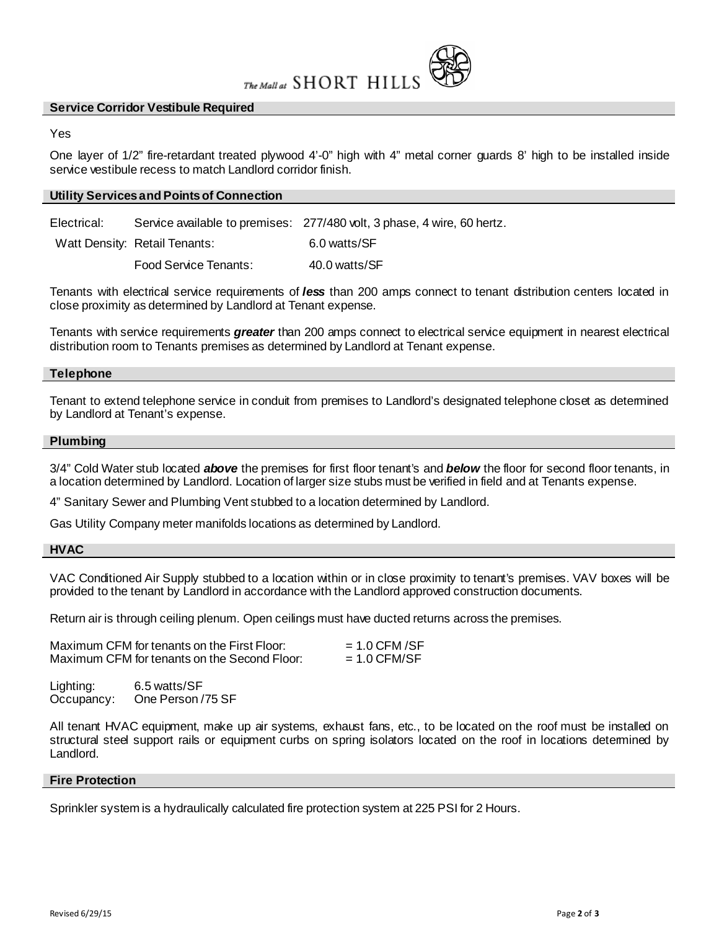

## **Service Corridor Vestibule Required**

## Yes

One layer of 1/2" fire-retardant treated plywood 4'-0" high with 4" metal corner guards 8' high to be installed inside service vestibule recess to match Landlord corridor finish.

## **Utility Services and Points of Connection**

Electrical: Service available to premises: 277/480 volt, 3 phase, 4 wire, 60 hertz.

Watt Density: Retail Tenants: 6.0 watts/SF

Food Service Tenants: 40.0 watts/SF

Tenants with electrical service requirements of *less* than 200 amps connect to tenant distribution centers located in close proximity as determined by Landlord at Tenant expense.

Tenants with service requirements *greater* than 200 amps connect to electrical service equipment in nearest electrical distribution room to Tenants premises as determined by Landlord at Tenant expense.

## **Telephone**

Tenant to extend telephone service in conduit from premises to Landlord's designated telephone closet as determined by Landlord at Tenant's expense.

### **Plumbing**

3/4" Cold Water stub located *above* the premises for first floor tenant's and *below* the floor for second floor tenants, in a location determined by Landlord. Location of larger size stubs must be verified in field and at Tenants expense.

4" Sanitary Sewer and Plumbing Vent stubbed to a location determined by Landlord.

Gas Utility Company meter manifolds locations as determined by Landlord.

### **HVAC**

VAC Conditioned Air Supply stubbed to a location within or in close proximity to tenant's premises. VAV boxes will be provided to the tenant by Landlord in accordance with the Landlord approved construction documents.

Return air is through ceiling plenum. Open ceilings must have ducted returns across the premises.

| Maximum CFM for tenants on the First Floor:  | $= 1.0$ CFM /SF |
|----------------------------------------------|-----------------|
| Maximum CFM for tenants on the Second Floor: | $= 1.0$ CFM/SF  |

Lighting: 6.5 watts/SF Occupancy: One Person /75 SF

All tenant HVAC equipment, make up air systems, exhaust fans, etc., to be located on the roof must be installed on structural steel support rails or equipment curbs on spring isolators located on the roof in locations determined by Landlord.

## **Fire Protection**

Sprinkler system is a hydraulically calculated fire protection system at 225 PSI for 2 Hours.